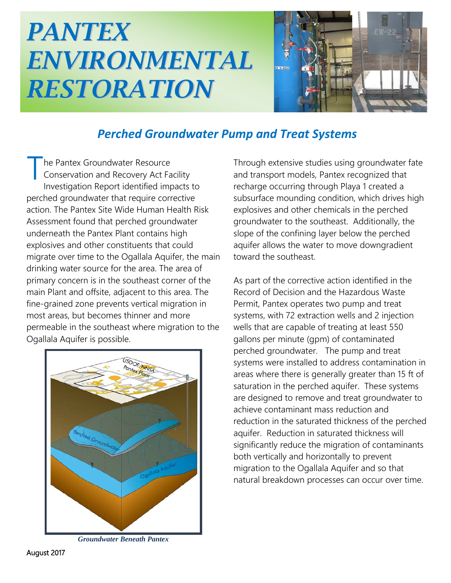## *PANTEX ENVIRONMENTAL RESTORATION*



## *Perched Groundwater Pump and Treat Systems*

he Pantex Groundwater Resource Conservation and Recovery Act Facility Investigation Report identified impacts to perched groundwater that require corrective action. The Pantex Site Wide Human Health Risk Assessment found that perched groundwater underneath the Pantex Plant contains high explosives and other constituents that could migrate over time to the Ogallala Aquifer, the main drinking water source for the area. The area of primary concern is in the southeast corner of the main Plant and offsite, adjacent to this area. The fine-grained zone prevents vertical migration in most areas, but becomes thinner and more permeable in the southeast where migration to the Ogallala Aquifer is possible. T



*Groundwater Beneath Pantex*

Through extensive studies using groundwater fate and transport models, Pantex recognized that recharge occurring through Playa 1 created a subsurface mounding condition, which drives high explosives and other chemicals in the perched groundwater to the southeast. Additionally, the slope of the confining layer below the perched aquifer allows the water to move downgradient toward the southeast.

As part of the corrective action identified in the Record of Decision and the Hazardous Waste Permit, Pantex operates two pump and treat systems, with 72 extraction wells and 2 injection wells that are capable of treating at least 550 gallons per minute (gpm) of contaminated perched groundwater. The pump and treat systems were installed to address contamination in areas where there is generally greater than 15 ft of saturation in the perched aquifer. These systems are designed to remove and treat groundwater to achieve contaminant mass reduction and reduction in the saturated thickness of the perched aquifer. Reduction in saturated thickness will significantly reduce the migration of contaminants both vertically and horizontally to prevent migration to the Ogallala Aquifer and so that natural breakdown processes can occur over time.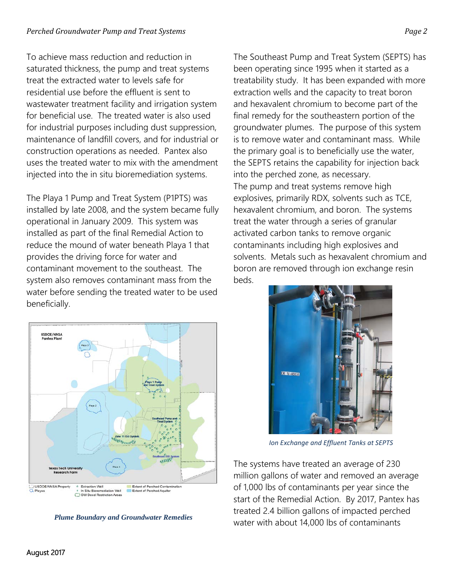To achieve mass reduction and reduction in saturated thickness, the pump and treat systems treat the extracted water to levels safe for residential use before the effluent is sent to wastewater treatment facility and irrigation system for beneficial use. The treated water is also used for industrial purposes including dust suppression, maintenance of landfill covers, and for industrial or construction operations as needed. Pantex also uses the treated water to mix with the amendment injected into the in situ bioremediation systems.

The Playa 1 Pump and Treat System (P1PTS) was installed by late 2008, and the system became fully operational in January 2009. This system was installed as part of the final Remedial Action to reduce the mound of water beneath Playa 1 that provides the driving force for water and contaminant movement to the southeast. The system also removes contaminant mass from the water before sending the treated water to be used beneficially.



*Plume Boundary and Groundwater Remedies*

The Southeast Pump and Treat System (SEPTS) has been operating since 1995 when it started as a treatability study. It has been expanded with more extraction wells and the capacity to treat boron and hexavalent chromium to become part of the final remedy for the southeastern portion of the groundwater plumes. The purpose of this system is to remove water and contaminant mass. While the primary goal is to beneficially use the water, the SEPTS retains the capability for injection back into the perched zone, as necessary. The pump and treat systems remove high explosives, primarily RDX, solvents such as TCE, hexavalent chromium, and boron. The systems treat the water through a series of granular activated carbon tanks to remove organic contaminants including high explosives and solvents. Metals such as hexavalent chromium and boron are removed through ion exchange resin beds.



*Ion Exchange and Effluent Tanks at SEPTS*

The systems have treated an average of 230 million gallons of water and removed an average of 1,000 lbs of contaminants per year since the start of the Remedial Action. By 2017, Pantex has treated 2.4 billion gallons of impacted perched water with about 14,000 lbs of contaminants